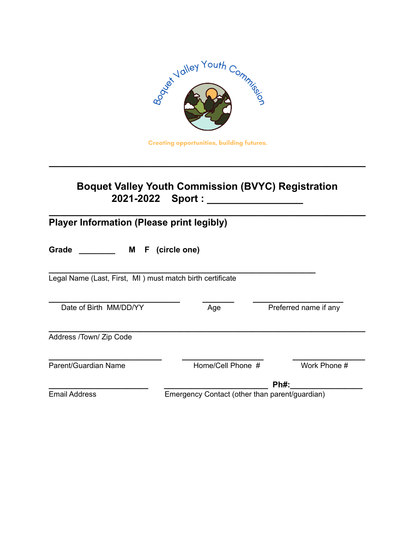

## **Creating opportunities, building futures.**

**\_\_\_\_\_\_\_\_\_\_\_\_\_\_\_\_\_\_\_\_\_\_\_\_\_\_\_\_\_\_\_\_\_\_\_\_\_\_\_\_\_\_\_\_\_\_\_\_\_\_\_\_\_\_\_\_**

## **Boquet Valley Youth Commission (BVYC) Registration 2021-2022 Sport : \_\_\_\_\_\_\_\_\_\_\_\_\_\_\_\_\_**

| <b>Player Information (Please print legibly)</b>          |                                                |                       |  |  |  |
|-----------------------------------------------------------|------------------------------------------------|-----------------------|--|--|--|
| Grade<br>M                                                | F (circle one)                                 |                       |  |  |  |
| Legal Name (Last, First, MI) must match birth certificate |                                                |                       |  |  |  |
| Date of Birth MM/DD/YY                                    | Age                                            | Preferred name if any |  |  |  |
| Address /Town/ Zip Code                                   |                                                |                       |  |  |  |
| Parent/Guardian Name                                      | Home/Cell Phone #                              | Work Phone #          |  |  |  |
|                                                           |                                                | $Ph#$ :               |  |  |  |
| <b>Email Address</b>                                      | Emergency Contact (other than parent/guardian) |                       |  |  |  |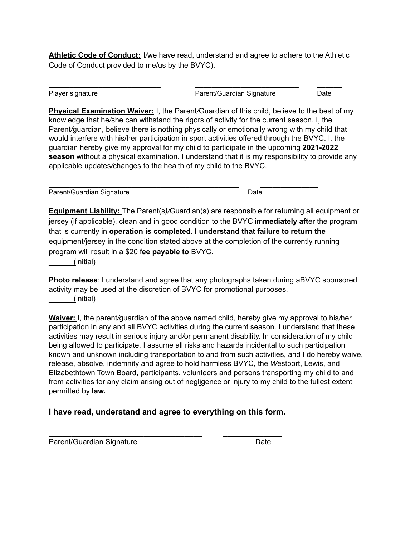**Athletic Code of Conduct:** I*/*we have read, understand and agree to adhere to the Athletic Code of Conduct provided to me/us by the BVYC).

**\_\_\_\_\_\_\_\_\_\_\_\_\_\_\_\_\_\_\_\_\_\_\_\_\_\_\_ \_\_\_\_\_\_\_\_\_\_\_\_\_\_\_\_\_\_\_\_\_\_\_\_\_ \_\_\_\_\_\_**

Player signature **Parent/Guardian Signature** Date

**Physical Examination Waiver:** I, the Parent*/*Guardian of this child, believe to the best of my knowledge that he*/*she can withstand the rigors of activity for the current season. I, the Parent*/*guardian, believe there is nothing physically or emotionally wrong with my child that would interfere with his/her participation in sport activities offered through the BVYC. I, the guardian hereby give my approval for my child to participate in the upcoming **2021-2022 season** without a physical examination. I understand that it is my responsibility to provide any applicable updates*/*changes to the health of my child to the BVYC.

| Parent/Guardian Signature | Date |
|---------------------------|------|

**Equipment Liability:** The Parent(s*)/*Guardian(s) are responsible for returning all equipment or jersey (if applicable), clean and in good condition to the BVYC im**mediately aft**er the program that is currently in **operation is completed. I understand that failure to return the** equipment/jersey in the condition stated above at the completion of the currently running program will result in a \$20 f**ee payable to** BVYC.

\_\_\_\_\_\_(initial)

**Photo release**: I understand and agree that any photographs taken during aBVYC sponsored activity may be used at the discretion of BVYC for promotional purposes. \_\_\_\_\_\_(initial)

**Waiver:** I, the parent*/*guardian of the above named child, hereby give my approval to his*/*her participation in any and all BVYC activities during the current season. I understand that these activities may result in serious injury and*/*or permanent disability. In consideration of my child being allowed to participate, I assume all risks and hazards incidental to such participation known and unknown including transportation to and from such activities, and I do hereby waive, release, absolve, indemnity and agree to hold harmless BVYC, the *W*estport, Lewis, and Elizabethtown Town Board, participants, volunteers and persons transporting my child to and from activities for any claim arising out of negligence or injury to my child to the fullest extent permitted by **law.**

## **I have read, understand and agree to everything on this form.**

**\_\_\_\_\_\_\_\_\_\_\_\_\_\_\_\_\_\_\_\_\_\_\_\_\_\_\_\_\_\_\_\_\_\_ \_\_\_\_\_\_\_\_\_\_\_\_\_** Parent/Guardian Signature Date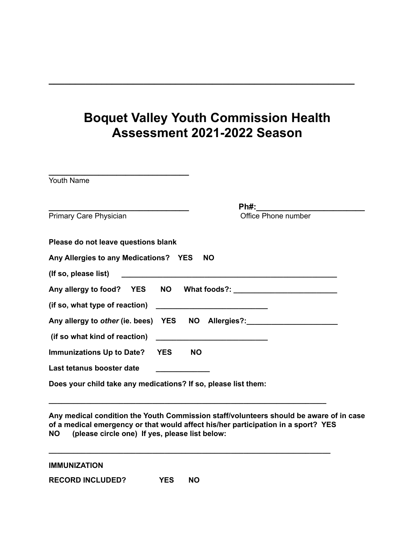## **Boquet Valley Youth Commission Health Assessment 2021-2022 Season**

**\_\_\_\_\_\_\_\_\_\_\_\_\_\_\_\_\_\_\_\_\_\_\_\_\_\_\_\_\_\_\_\_\_\_\_\_\_\_\_\_\_\_\_\_\_\_\_\_\_\_\_\_\_\_\_\_\_\_**

| <u> 1989 - Johann Stein, Amerikaansk politiker (* 1908)</u>    |                     |
|----------------------------------------------------------------|---------------------|
| <b>Youth Name</b>                                              |                     |
| <b>Primary Care Physician</b>                                  | Office Phone number |
|                                                                |                     |
| Please do not leave questions blank                            |                     |
| Any Allergies to any Medications? YES                          | <b>NO</b>           |
|                                                                |                     |
|                                                                |                     |
|                                                                |                     |
| Any allergy to other (ie. bees) YES NO Allergies?:             |                     |
|                                                                |                     |
| <b>Immunizations Up to Date? YES</b><br><b>NO</b>              |                     |
| Last tetanus booster date                                      |                     |
| Does your child take any medications? If so, please list them: |                     |

**Any medical condition the Youth Commission staff/volunteers should be aware of in case of a medical emergency or that would affect his/her participation in a sport? YES NO (please circle one) If yes, please list below:**

**\_\_\_\_\_\_\_\_\_\_\_\_\_\_\_\_\_\_\_\_\_\_\_\_\_\_\_\_\_\_\_\_\_\_\_\_\_\_\_\_\_\_\_\_\_\_\_\_\_\_\_\_\_\_\_\_\_\_\_\_\_\_\_\_\_\_\_**

**\_\_\_\_\_\_\_\_\_\_\_\_\_\_\_\_\_\_\_\_\_\_\_\_\_\_\_\_\_\_\_\_\_\_\_\_\_\_\_\_\_\_\_\_\_\_\_\_\_\_\_\_\_\_\_\_\_\_\_\_\_\_\_\_\_\_\_\_**

|  | <b>IMMUNIZATION</b> |
|--|---------------------|
|  |                     |

**RECORD INCLUDED? YES NO**